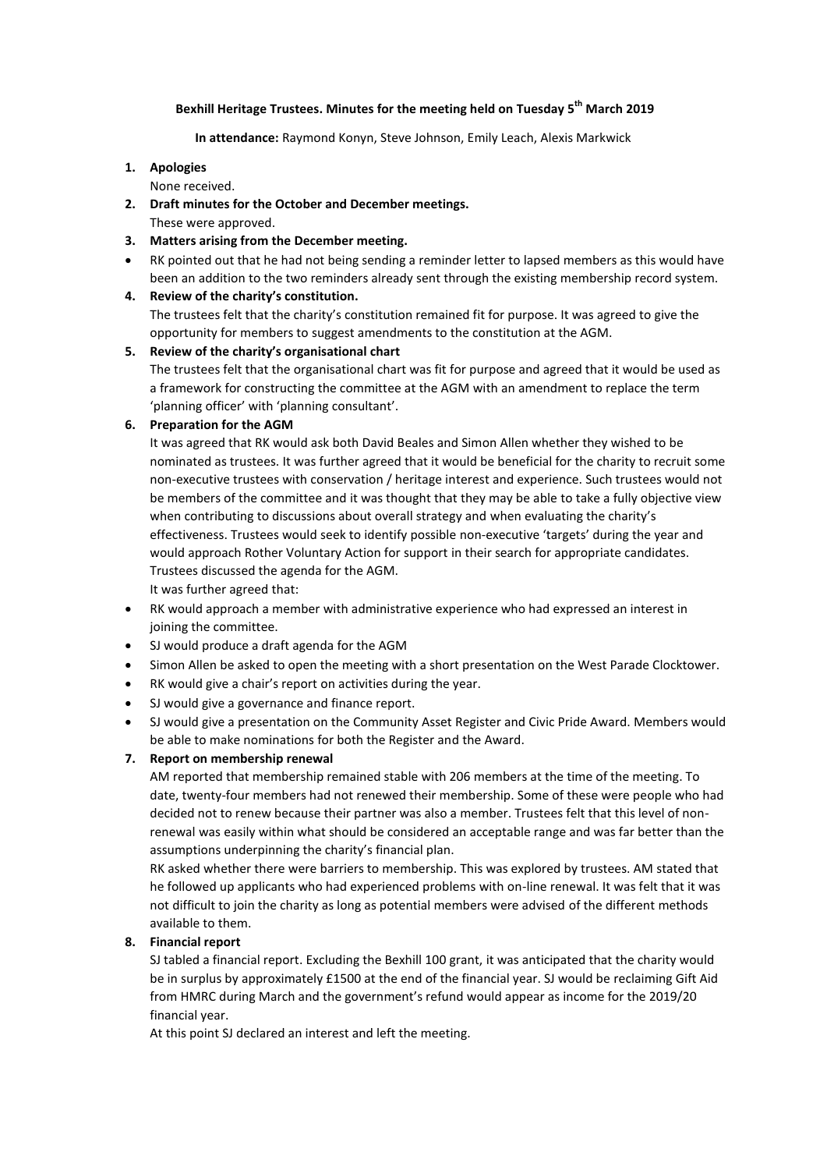# **Bexhill Heritage Trustees. Minutes for the meeting held on Tuesday 5 th March 2019**

**In attendance:** Raymond Konyn, Steve Johnson, Emily Leach, Alexis Markwick

#### **1. Apologies**

None received.

- **2. Draft minutes for the October and December meetings.** These were approved.
- **3. Matters arising from the December meeting.**
- RK pointed out that he had not being sending a reminder letter to lapsed members as this would have been an addition to the two reminders already sent through the existing membership record system.

### **4. Review of the charity's constitution.**

The trustees felt that the charity's constitution remained fit for purpose. It was agreed to give the opportunity for members to suggest amendments to the constitution at the AGM.

## **5. Review of the charity's organisational chart**

The trustees felt that the organisational chart was fit for purpose and agreed that it would be used as a framework for constructing the committee at the AGM with an amendment to replace the term 'planning officer' with 'planning consultant'.

### **6. Preparation for the AGM**

It was agreed that RK would ask both David Beales and Simon Allen whether they wished to be nominated as trustees. It was further agreed that it would be beneficial for the charity to recruit some non-executive trustees with conservation / heritage interest and experience. Such trustees would not be members of the committee and it was thought that they may be able to take a fully objective view when contributing to discussions about overall strategy and when evaluating the charity's effectiveness. Trustees would seek to identify possible non-executive 'targets' during the year and would approach Rother Voluntary Action for support in their search for appropriate candidates. Trustees discussed the agenda for the AGM.

It was further agreed that:

- RK would approach a member with administrative experience who had expressed an interest in joining the committee.
- SJ would produce a draft agenda for the AGM
- Simon Allen be asked to open the meeting with a short presentation on the West Parade Clocktower.
- RK would give a chair's report on activities during the year.
- SJ would give a governance and finance report.
- SJ would give a presentation on the Community Asset Register and Civic Pride Award. Members would be able to make nominations for both the Register and the Award.

## **7. Report on membership renewal**

AM reported that membership remained stable with 206 members at the time of the meeting. To date, twenty-four members had not renewed their membership. Some of these were people who had decided not to renew because their partner was also a member. Trustees felt that this level of nonrenewal was easily within what should be considered an acceptable range and was far better than the assumptions underpinning the charity's financial plan.

RK asked whether there were barriers to membership. This was explored by trustees. AM stated that he followed up applicants who had experienced problems with on-line renewal. It was felt that it was not difficult to join the charity as long as potential members were advised of the different methods available to them.

## **8. Financial report**

SJ tabled a financial report. Excluding the Bexhill 100 grant, it was anticipated that the charity would be in surplus by approximately £1500 at the end of the financial year. SJ would be reclaiming Gift Aid from HMRC during March and the government's refund would appear as income for the 2019/20 financial year.

At this point SJ declared an interest and left the meeting.